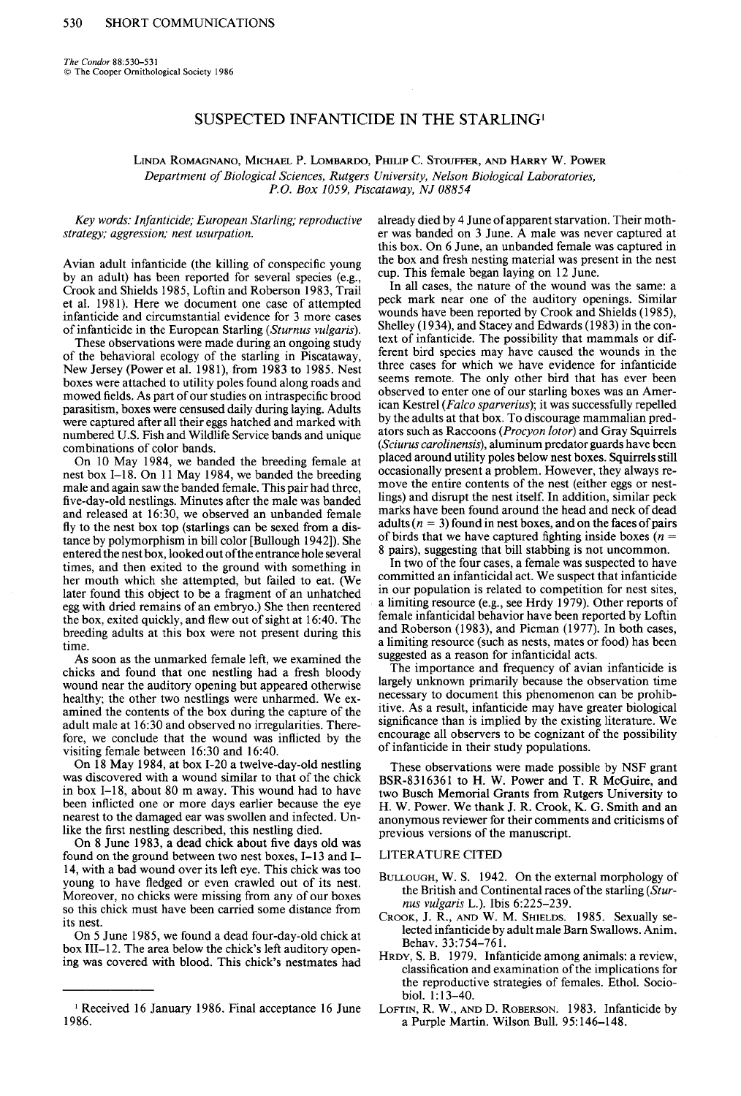**The Condor 88530-531 0 The Cooper Ornithological Society 1986** 

# **SUSPECTED INFANTICIDE IN THE STARLING'**

**LINDA ROMAGNANO, MICHAEL P. LOMBARDO, PHILIP C. STOUFFER, AND HARRY W. POWER Department of Biological Sciences, Rutgers University, Nelson Biological Laboratories, P.O. Box 1059. Piscataway, NJ 08854** 

**Key words: Infanticide; European Starling; reproductive strategy; aggression; nest usurpation.** 

**Avian adult infanticide (the killing of conspecific young by an adult) has been reported for several species (e.g.: Crook and Shields 1985, Loftin and Roberson 1983. Trail et al. 1981). Here we document one case of attempted infanticide and circumstantial evidence for 3 more cases of infanticide in the European Starling (Sturnus vulgaris).** 

**These observations were made during an ongoing study of the behavioral ecology of the starling in Piscataway, New Jersey (Power et al. 1981), from 1983 to 1985. Nest boxes were attached to utility poles found along roads and mowed fields. As part of our studies on intraspecific brood parasitism, boxes were censused daily during laying. Adults were captured after all their eggs hatched and marked with numbered U.S. Fish and Wildlife Service bands and unique combinations of color bands.** 

**On 10 May 1984, we banded the breeding female at nest box I-18. On 11 May 1984, we banded the breeding male and again saw the banded female. This pair had three, five-day-old nestlings. Minutes after the male was banded and released at 16:30, we observed an unbanded female fly to the nest box top (starlings can be sexed from a distance by polymorphism in bill color [Bullough 19421). She entered the nest box, looked out ofthe entrance hole several times, and then exited to the ground with something in her mouth which she attempted, but failed to eat. (We later found this object to be a fragment of an unhatched egg with dried remains of an embryo.) She then reentered the box, exited quickly, and flew out of sight at 16:40. The breeding adults at this box were not present during this time.** 

**As soon as the unmarked female left, we examined the chicks and found that one nestling had a fresh bloody wound near the auditory opening but appeared otherwise healthy; the other two nestlings were unharmed. We examined the contents of the box during the capture of the adult male at 16:30 and observed no irregularities. Therefore, we conclude that the wound was inflicted by the visiting female between 16:30 and 16:40.** 

**On 18 May 1984, at box I-20 a twelve-day-old nestling was discovered with a wound similar to that of the chick in box I-18, about 80 m away. This wound had to have been inflicted one or more days earlier because the eye nearest to the damaged ear was swollen and infected. Unlike the first nestling described, this nestling died.** 

**On 8 June 1983, a dead chick about five days old was**  found on the ground between two nest boxes, I-13 and I-**14, with a bad wound over its left eye. This chick was too young to have fledged or even crawled out of its nest. Moreover, no chicks were missing from any of our boxes so this chick must have been carried some distance from its nest.** 

**On 5 June 1985, we found a dead four-day-old chick at box 111-12. The area below the chick's left auditory opening was covered with blood. This chick's nestmates had**  **already died by 4 June of apparent starvation. Their mother was banded on 3 June. A male was never captured at this box. On 6 June, an unbanded female was captured in the box and fresh nesting material was present in the nest cup. This female began laying on 12 June.** 

**In all cases, the nature of the wound was the same: a peck mark near one of the auditory openings. Similar**  wounds have been reported by Crook and Shields (1985). **Shelley (1934), and Stacey and Edwards (1983) in the con**text of infanticide. The possibility that mammals or dif**ferent bird species may-have caused the wounds in the three cases for which we have evidence for infanticide seems remote. The only other bird that has ever been observed to enter one of our starling boxes was an American Kestrel (Falco sparverius); it was successfully repelled by the adults at that box. To discourage mammalian pred**ators such as Raccoons (*Procyon lotor*) and Gray Squirrels **(Sciurus carolinensis), aluminum predator guards have been placed around utility poles below nest boxes. Squirrels still occasionally present a problem. However, they always remove the entire contents of the nest (either eggs or nestlings) and disrupt the nest itself. In addition, similar peck marks have been found around the head and neck of dead**  adults  $(n = 3)$  found in nest boxes, and on the faces of pairs of birds that we have captured fighting inside boxes ( $n =$ **8 pairs), suggesting that bill stabbing is not uncommon.** 

**In two of the four cases, a female was suspected to have committed an infanticidal act. We suspect that infanticide in our population is related to competition for nest sites, a limiting resource (e.g., see Hrdy 1979). Other reports of female infanticidal behavior have been reported by Loftin**  and Roberson (1983), and Picman (1977). In both cases, **a limiting resource (such as nests, mates or food) has been suggested as a reason for infanticidal acts.** 

**The importance and frequency of avian infanticide is largely unknown primarily because the observation time necessary to document this phenomenon can be prohibitive. As a result, infanticide may have greater biological significance than is implied by the existing literature. We encourage all observers to be cognizant of the possibility of infanticide in their study populations.** 

**These observations were made possible by NSF grant BSR-83 1636 1 to H. W. Power and T. R McGuire, and two Busch Memorial Grants from Rutgers University to H. W. Power. We thank J. R. Crook, K. G. Smith and an anonymous reviewer for their comments and criticisms of previous versions of the manuscript.** 

#### **LITERATURE CITED**

- **BULLOUGH, W. S. 1942. On the external morphology of the British and Continental races of the starling (Stur***nus vulgaris L.*). Ibis 6:225-239.
- **CROOK, J. R., AND W. M. SHIELDS. 1985. Sexually selected infanticide by adult male Barn Swallows. Anim. Behav. 33:754-761.**
- **HRDY, S. B. 1979. Infanticide among animals: a review, classification and examination of the implications for the reproductive strategies of females. Ethol. Sociobiol. 1: 13-40.**
- **LOFTIN, R. W., AND D. ROBERSON. 1983. Infanticide by a Purple Martin. Wilson Bull. 95: 146-148.**

**I Received 16 January 1986. Final acceptance 16 June 1986.**